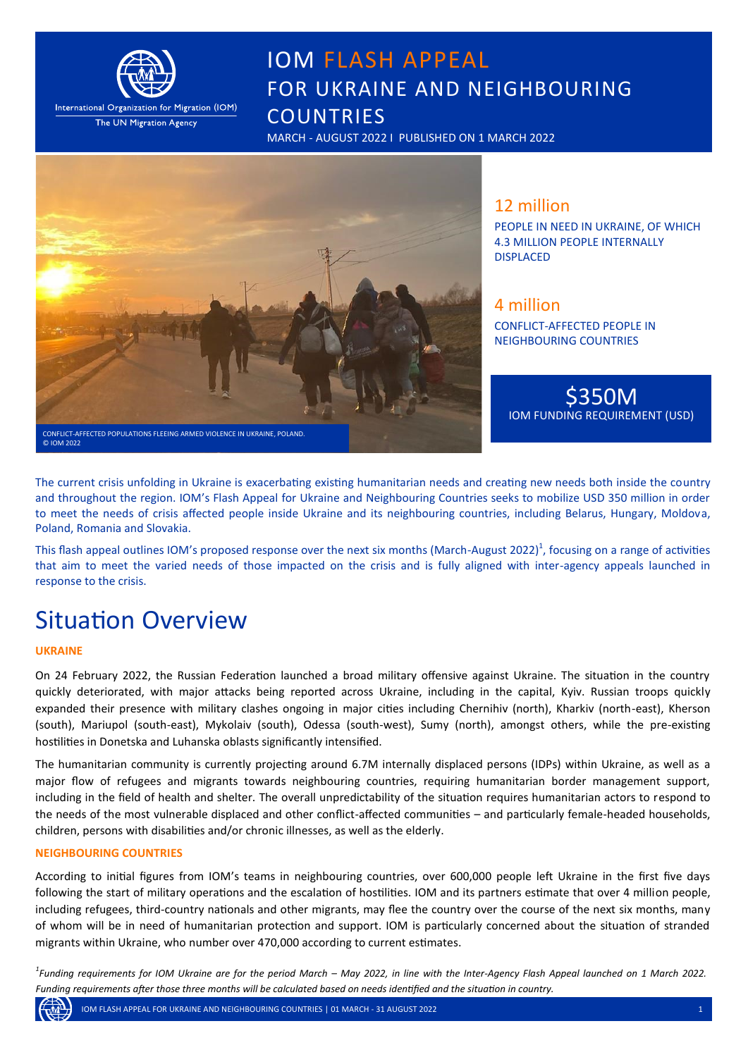

International Organization for Migration (IOM) The UN Migration Agency

# IOM FLASH APPEAL FOR UKRAINE AND NEIGHBOURING **COUNTRIES**

MARCH - AUGUST 2022 I PUBLISHED ON 1 MARCH 2022



### 12 million

PEOPLE IN NEED IN UKRAINE, OF WHICH 4.3 MILLION PEOPLE INTERNALLY DISPLACED

### 4 million

CONFLICT-AFFECTED PEOPLE IN NEIGHBOURING COUNTRIES

\$350M IOM FUNDING REQUIREMENT (USD)

The current crisis unfolding in Ukraine is exacerbating existing humanitarian needs and creating new needs both inside the country and throughout the region. IOM's Flash Appeal for Ukraine and Neighbouring Countries seeks to mobilize USD 350 million in order to meet the needs of crisis affected people inside Ukraine and its neighbouring countries, including Belarus, Hungary, Moldova, Poland, Romania and Slovakia.

This flash appeal outlines IOM's proposed response over the next six months (March-August 2022)<sup>1</sup>, focusing on a range of activities that aim to meet the varied needs of those impacted on the crisis and is fully aligned with inter-agency appeals launched in response to the crisis.

# Situation Overview

#### **UKRAINE**

On 24 February 2022, the Russian Federation launched a broad military offensive against Ukraine. The situation in the country quickly deteriorated, with major attacks being reported across Ukraine, including in the capital, Kyiv. Russian troops quickly expanded their presence with military clashes ongoing in major cities including Chernihiv (north), Kharkiv (north-east), Kherson (south), Mariupol (south-east), Mykolaiv (south), Odessa (south-west), Sumy (north), amongst others, while the pre-existing hostilities in Donetska and Luhanska oblasts significantly intensified.

The humanitarian community is currently projecting around 6.7M internally displaced persons (IDPs) within Ukraine, as well as a major flow of refugees and migrants towards neighbouring countries, requiring humanitarian border management support, including in the field of health and shelter. The overall unpredictability of the situation requires humanitarian actors to respond to the needs of the most vulnerable displaced and other conflict-affected communities – and particularly female-headed households, children, persons with disabilities and/or chronic illnesses, as well as the elderly.

#### **NEIGHBOURING COUNTRIES**

According to initial figures from IOM's teams in neighbouring countries, over 600,000 people left Ukraine in the first five days following the start of military operations and the escalation of hostilities. IOM and its partners estimate that over 4 million people, including refugees, third-country nationals and other migrants, may flee the country over the course of the next six months, many of whom will be in need of humanitarian protection and support. IOM is particularly concerned about the situation of stranded migrants within Ukraine, who number over 470,000 according to current estimates.

*1 Funding requirements for IOM Ukraine are for the period March – May 2022, in line with the Inter-Agency Flash Appeal launched on 1 March 2022. Funding requirements after those three months will be calculated based on needs identified and the situation in country.* 

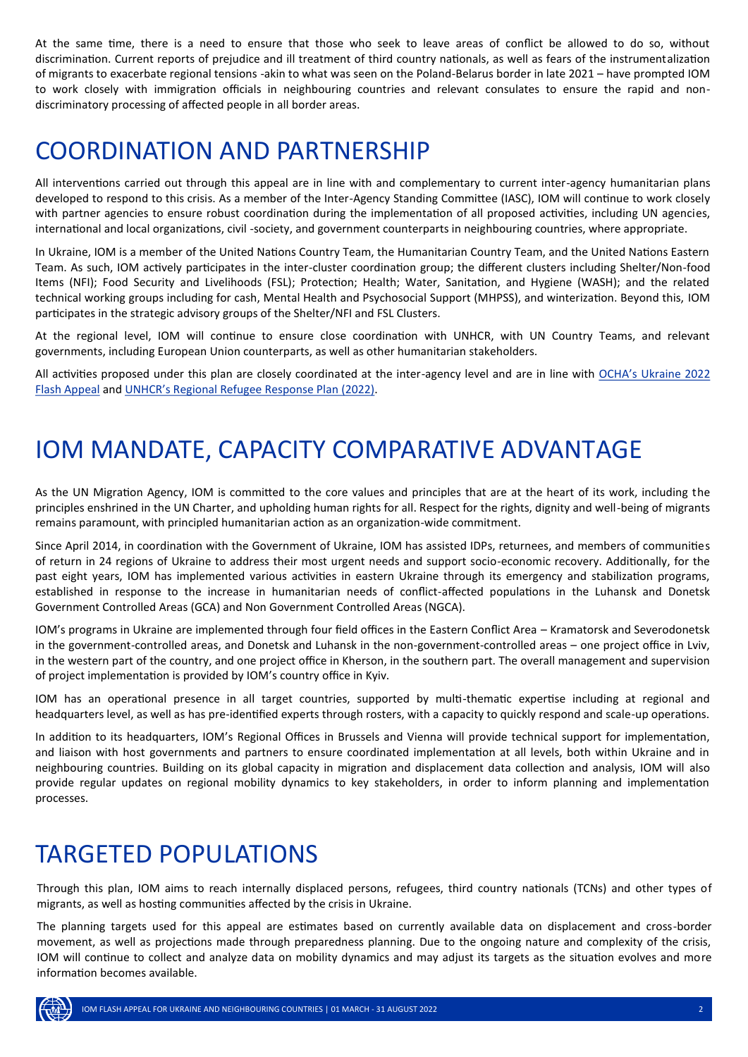At the same time, there is a need to ensure that those who seek to leave areas of conflict be allowed to do so, without discrimination. Current reports of prejudice and ill treatment of third country nationals, as well as fears of the instrumentalization of migrants to exacerbate regional tensions -akin to what was seen on the Poland-Belarus border in late 2021 – have prompted IOM to work closely with immigration officials in neighbouring countries and relevant consulates to ensure the rapid and nondiscriminatory processing of affected people in all border areas.

# COORDINATION AND PARTNERSHIP

All interventions carried out through this appeal are in line with and complementary to current inter-agency humanitarian plans developed to respond to this crisis. As a member of the Inter-Agency Standing Committee (IASC), IOM will continue to work closely with partner agencies to ensure robust coordination during the implementation of all proposed activities, including UN agencies, international and local organizations, civil -society, and government counterparts in neighbouring countries, where appropriate.

In Ukraine, IOM is a member of the United Nations Country Team, the Humanitarian Country Team, and the United Nations Eastern Team. As such, IOM actively participates in the inter-cluster coordination group; the different clusters including Shelter/Non-food Items (NFI); Food Security and Livelihoods (FSL); Protection; Health; Water, Sanitation, and Hygiene (WASH); and the related technical working groups including for cash, Mental Health and Psychosocial Support (MHPSS), and winterization. Beyond this, IOM participates in the strategic advisory groups of the Shelter/NFI and FSL Clusters.

At the regional level, IOM will continue to ensure close coordination with UNHCR, with UN Country Teams, and relevant governments, including European Union counterparts, as well as other humanitarian stakeholders.

All activities proposed under this plan are closely coordinated at the inter-agency level and are in line with OCHA'[s Ukraine 2022](https://reliefweb.int/sites/reliefweb.int/files/resources/Ukraine%20Flash%20Appeal%202022.pdf)  [Flash Appeal](https://reliefweb.int/sites/reliefweb.int/files/resources/Ukraine%20Flash%20Appeal%202022.pdf) and UNHCR'[s Regional Refugee Response Plan \(2022\).](https://reliefweb.int/sites/reliefweb.int/files/resources/Ukraine%20Situation_%20Summary%20of%20Regional%20Refugee%20Response%20Plan%20_%20Global%20Focus.pdf)

# IOM MANDATE, CAPACITY COMPARATIVE ADVANTAGE

As the UN Migration Agency, IOM is committed to the core values and principles that are at the heart of its work, including the principles enshrined in the UN Charter, and upholding human rights for all. Respect for the rights, dignity and well-being of migrants remains paramount, with principled humanitarian action as an organization-wide commitment.

Since April 2014, in coordination with the Government of Ukraine, IOM has assisted IDPs, returnees, and members of communities of return in 24 regions of Ukraine to address their most urgent needs and support socio-economic recovery. Additionally, for the past eight years, IOM has implemented various activities in eastern Ukraine through its emergency and stabilization programs, established in response to the increase in humanitarian needs of conflict-affected populations in the Luhansk and Donetsk Government Controlled Areas (GCA) and Non Government Controlled Areas (NGCA).

IOM's programs in Ukraine are implemented through four field offices in the Eastern Conflict Area – Kramatorsk and Severodonetsk in the government-controlled areas, and Donetsk and Luhansk in the non-government-controlled areas – one project office in Lviv, in the western part of the country, and one project office in Kherson, in the southern part. The overall management and supervision of project implementation is provided by IOM's country office in Kyiv.

IOM has an operational presence in all target countries, supported by multi-thematic expertise including at regional and headquarters level, as well as has pre-identified experts through rosters, with a capacity to quickly respond and scale-up operations.

In addition to its headquarters, IOM's Regional Offices in Brussels and Vienna will provide technical support for implementation, and liaison with host governments and partners to ensure coordinated implementation at all levels, both within Ukraine and in neighbouring countries. Building on its global capacity in migration and displacement data collection and analysis, IOM will also provide regular updates on regional mobility dynamics to key stakeholders, in order to inform planning and implementation processes.

## TARGETED POPULATIONS

Through this plan, IOM aims to reach internally displaced persons, refugees, third country nationals (TCNs) and other types of migrants, as well as hosting communities affected by the crisis in Ukraine.

The planning targets used for this appeal are estimates based on currently available data on displacement and cross-border movement, as well as projections made through preparedness planning. Due to the ongoing nature and complexity of the crisis, IOM will continue to collect and analyze data on mobility dynamics and may adjust its targets as the situation evolves and more information becomes available.

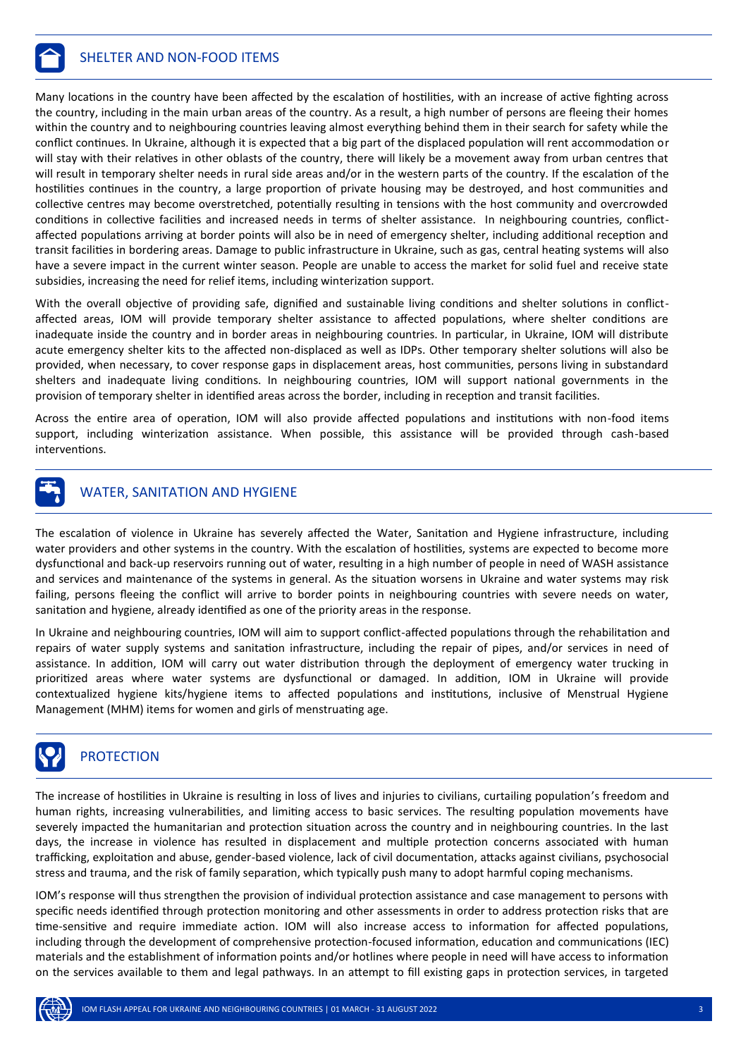

Many locations in the country have been affected by the escalation of hostilities, with an increase of active fighting across the country, including in the main urban areas of the country. As a result, a high number of persons are fleeing their homes within the country and to neighbouring countries leaving almost everything behind them in their search for safety while the conflict continues. In Ukraine, although it is expected that a big part of the displaced population will rent accommodation or will stay with their relatives in other oblasts of the country, there will likely be a movement away from urban centres that will result in temporary shelter needs in rural side areas and/or in the western parts of the country. If the escalation of the hostilities continues in the country, a large proportion of private housing may be destroyed, and host communities and collective centres may become overstretched, potentially resulting in tensions with the host community and overcrowded conditions in collective facilities and increased needs in terms of shelter assistance. In neighbouring countries, conflictaffected populations arriving at border points will also be in need of emergency shelter, including additional reception and transit facilities in bordering areas. Damage to public infrastructure in Ukraine, such as gas, central heating systems will also have a severe impact in the current winter season. People are unable to access the market for solid fuel and receive state subsidies, increasing the need for relief items, including winterization support.

With the overall objective of providing safe, dignified and sustainable living conditions and shelter solutions in conflictaffected areas, IOM will provide temporary shelter assistance to affected populations, where shelter conditions are inadequate inside the country and in border areas in neighbouring countries. In particular, in Ukraine, IOM will distribute acute emergency shelter kits to the affected non-displaced as well as IDPs. Other temporary shelter solutions will also be provided, when necessary, to cover response gaps in displacement areas, host communities, persons living in substandard shelters and inadequate living conditions. In neighbouring countries, IOM will support national governments in the provision of temporary shelter in identified areas across the border, including in reception and transit facilities.

Across the entire area of operation, IOM will also provide affected populations and institutions with non-food items support, including winterization assistance. When possible, this assistance will be provided through cash-based interventions.



#### WATER, SANITATION AND HYGIENE

The escalation of violence in Ukraine has severely affected the Water, Sanitation and Hygiene infrastructure, including water providers and other systems in the country. With the escalation of hostilities, systems are expected to become more dysfunctional and back-up reservoirs running out of water, resulting in a high number of people in need of WASH assistance and services and maintenance of the systems in general. As the situation worsens in Ukraine and water systems may risk failing, persons fleeing the conflict will arrive to border points in neighbouring countries with severe needs on water, sanitation and hygiene, already identified as one of the priority areas in the response.

In Ukraine and neighbouring countries, IOM will aim to support conflict-affected populations through the rehabilitation and repairs of water supply systems and sanitation infrastructure, including the repair of pipes, and/or services in need of assistance. In addition, IOM will carry out water distribution through the deployment of emergency water trucking in prioritized areas where water systems are dysfunctional or damaged. In addition, IOM in Ukraine will provide contextualized hygiene kits/hygiene items to affected populations and institutions, inclusive of Menstrual Hygiene Management (MHM) items for women and girls of menstruating age.



#### **PROTECTION**

The increase of hostilities in Ukraine is resulting in loss of lives and injuries to civilians, curtailing population's freedom and human rights, increasing vulnerabilities, and limiting access to basic services. The resulting population movements have severely impacted the humanitarian and protection situation across the country and in neighbouring countries. In the last days, the increase in violence has resulted in displacement and multiple protection concerns associated with human trafficking, exploitation and abuse, gender-based violence, lack of civil documentation, attacks against civilians, psychosocial stress and trauma, and the risk of family separation, which typically push many to adopt harmful coping mechanisms.

IOM's response will thus strengthen the provision of individual protection assistance and case management to persons with specific needs identified through protection monitoring and other assessments in order to address protection risks that are time-sensitive and require immediate action. IOM will also increase access to information for affected populations, including through the development of comprehensive protection-focused information, education and communications (IEC) materials and the establishment of information points and/or hotlines where people in need will have access to information on the services available to them and legal pathways. In an attempt to fill existing gaps in protection services, in targeted

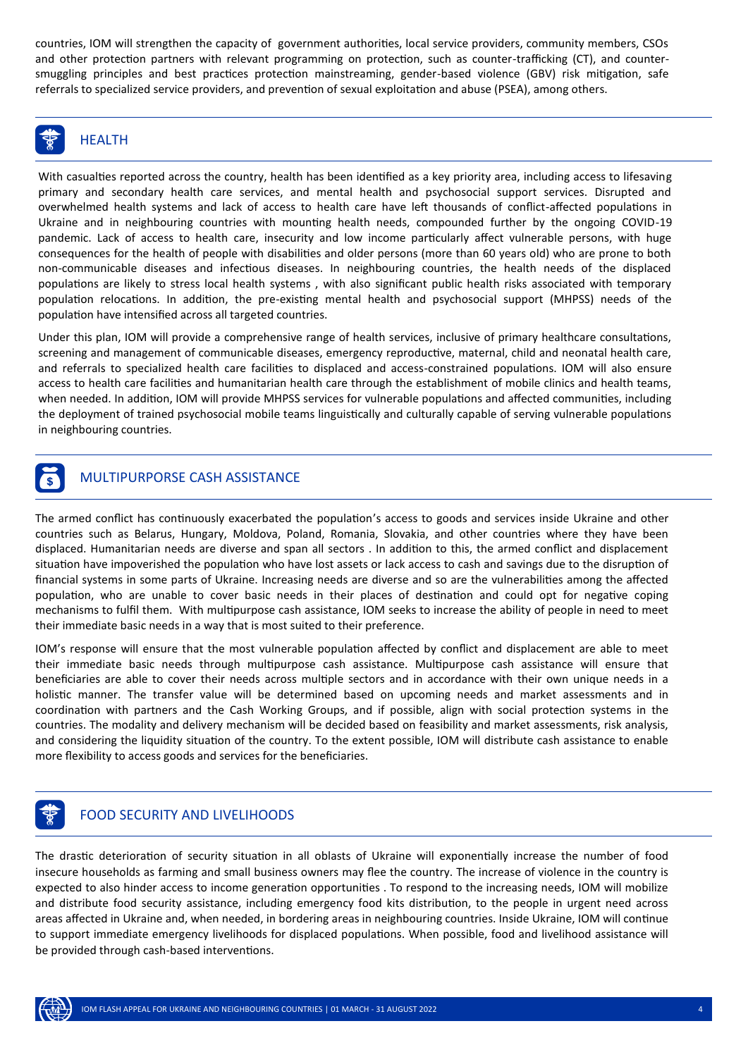countries, IOM will strengthen the capacity of government authorities, local service providers, community members, CSOs and other protection partners with relevant programming on protection, such as counter-trafficking (CT), and countersmuggling principles and best practices protection mainstreaming, gender-based violence (GBV) risk mitigation, safe referrals to specialized service providers, and prevention of sexual exploitation and abuse (PSEA), among others.



## **HEALTH**

With casualties reported across the country, health has been identified as a key priority area, including access to lifesaving primary and secondary health care services, and mental health and psychosocial support services. Disrupted and overwhelmed health systems and lack of access to health care have left thousands of conflict-affected populations in Ukraine and in neighbouring countries with mounting health needs, compounded further by the ongoing COVID-19 pandemic. Lack of access to health care, insecurity and low income particularly affect vulnerable persons, with huge consequences for the health of people with disabilities and older persons (more than 60 years old) who are prone to both non-communicable diseases and infectious diseases. In neighbouring countries, the health needs of the displaced populations are likely to stress local health systems , with also significant public health risks associated with temporary population relocations. In addition, the pre-existing mental health and psychosocial support (MHPSS) needs of the population have intensified across all targeted countries.

Under this plan, IOM will provide a comprehensive range of health services, inclusive of primary healthcare consultations, screening and management of communicable diseases, emergency reproductive, maternal, child and neonatal health care, and referrals to specialized health care facilities to displaced and access-constrained populations. IOM will also ensure access to health care facilities and humanitarian health care through the establishment of mobile clinics and health teams, when needed. In addition, IOM will provide MHPSS services for vulnerable populations and affected communities, including the deployment of trained psychosocial mobile teams linguistically and culturally capable of serving vulnerable populations in neighbouring countries.

## ] MULTIPURPORSE CASH ASSISTANCE

The armed conflict has continuously exacerbated the population's access to goods and services inside Ukraine and other countries such as Belarus, Hungary, Moldova, Poland, Romania, Slovakia, and other countries where they have been displaced. Humanitarian needs are diverse and span all sectors . In addition to this, the armed conflict and displacement situation have impoverished the population who have lost assets or lack access to cash and savings due to the disruption of financial systems in some parts of Ukraine. Increasing needs are diverse and so are the vulnerabilities among the affected population, who are unable to cover basic needs in their places of destination and could opt for negative coping mechanisms to fulfil them. With multipurpose cash assistance, IOM seeks to increase the ability of people in need to meet their immediate basic needs in a way that is most suited to their preference.

IOM's response will ensure that the most vulnerable population affected by conflict and displacement are able to meet their immediate basic needs through multipurpose cash assistance. Multipurpose cash assistance will ensure that beneficiaries are able to cover their needs across multiple sectors and in accordance with their own unique needs in a holistic manner. The transfer value will be determined based on upcoming needs and market assessments and in coordination with partners and the Cash Working Groups, and if possible, align with social protection systems in the countries. The modality and delivery mechanism will be decided based on feasibility and market assessments, risk analysis, and considering the liquidity situation of the country. To the extent possible, IOM will distribute cash assistance to enable more flexibility to access goods and services for the beneficiaries.

### f FOOD SECURITY AND LIVELIHOODS

The drastic deterioration of security situation in all oblasts of Ukraine will exponentially increase the number of food insecure households as farming and small business owners may flee the country. The increase of violence in the country is expected to also hinder access to income generation opportunities . To respond to the increasing needs, IOM will mobilize and distribute food security assistance, including emergency food kits distribution, to the people in urgent need across areas affected in Ukraine and, when needed, in bordering areas in neighbouring countries. Inside Ukraine, IOM will continue to support immediate emergency livelihoods for displaced populations. When possible, food and livelihood assistance will be provided through cash-based interventions.

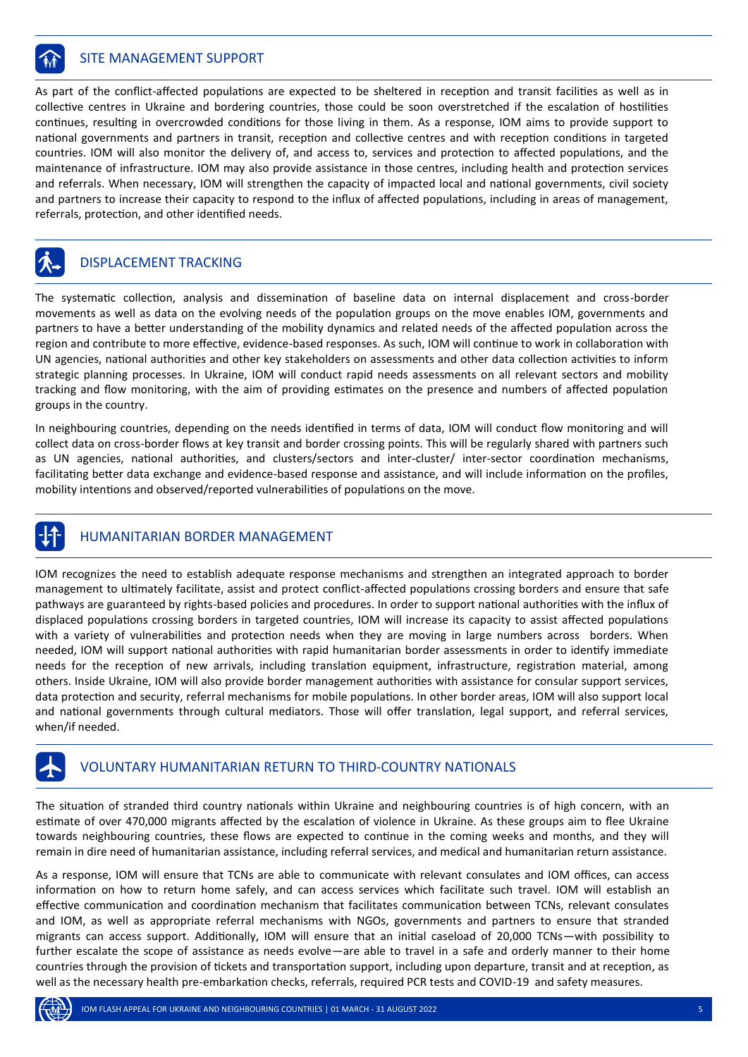

#### **SITE MANAGEMENT SUPPORT**

As part of the conflict-affected populations are expected to be sheltered in reception and transit facilities as well as in collective centres in Ukraine and bordering countries, those could be soon overstretched if the escalation of hostilities continues, resulting in overcrowded conditions for those living in them. As a response, IOM aims to provide support to national governments and partners in transit, reception and collective centres and with reception conditions in targeted countries. IOM will also monitor the delivery of, and access to, services and protection to affected populations, and the maintenance of infrastructure. IOM may also provide assistance in those centres, including health and protection services and referrals. When necessary, IOM will strengthen the capacity of impacted local and national governments, civil society and partners to increase their capacity to respond to the influx of affected populations, including in areas of management, referrals, protection, and other identified needs.

### DISPLACEMENT TRACKING

The systematic collection, analysis and dissemination of baseline data on internal displacement and cross-border movements as well as data on the evolving needs of the population groups on the move enables IOM, governments and partners to have a better understanding of the mobility dynamics and related needs of the affected population across the region and contribute to more effective, evidence-based responses. As such, IOM will continue to work in collaboration with UN agencies, national authorities and other key stakeholders on assessments and other data collection activities to inform strategic planning processes. In Ukraine, IOM will conduct rapid needs assessments on all relevant sectors and mobility tracking and flow monitoring, with the aim of providing estimates on the presence and numbers of affected population groups in the country.

In neighbouring countries, depending on the needs identified in terms of data, IOM will conduct flow monitoring and will collect data on cross-border flows at key transit and border crossing points. This will be regularly shared with partners such as UN agencies, national authorities, and clusters/sectors and inter-cluster/ inter-sector coordination mechanisms, facilitating better data exchange and evidence-based response and assistance, and will include information on the profiles, mobility intentions and observed/reported vulnerabilities of populations on the move.

### ) HUMANITARIAN BORDER MANAGEMENT

IOM recognizes the need to establish adequate response mechanisms and strengthen an integrated approach to border management to ultimately facilitate, assist and protect conflict-affected populations crossing borders and ensure that safe pathways are guaranteed by rights-based policies and procedures. In order to support national authorities with the influx of displaced populations crossing borders in targeted countries, IOM will increase its capacity to assist affected populations with a variety of vulnerabilities and protection needs when they are moving in large numbers across borders. When needed, IOM will support national authorities with rapid humanitarian border assessments in order to identify immediate needs for the reception of new arrivals, including translation equipment, infrastructure, registration material, among others. Inside Ukraine, IOM will also provide border management authorities with assistance for consular support services, data protection and security, referral mechanisms for mobile populations. In other border areas, IOM will also support local and national governments through cultural mediators. Those will offer translation, legal support, and referral services, when/if needed.



#### VOLUNTARY HUMANITARIAN RETURN TO THIRD-COUNTRY NATIONALS

The situation of stranded third country nationals within Ukraine and neighbouring countries is of high concern, with an estimate of over 470,000 migrants affected by the escalation of violence in Ukraine. As these groups aim to flee Ukraine towards neighbouring countries, these flows are expected to continue in the coming weeks and months, and they will remain in dire need of humanitarian assistance, including referral services, and medical and humanitarian return assistance.

As a response, IOM will ensure that TCNs are able to communicate with relevant consulates and IOM offices, can access information on how to return home safely, and can access services which facilitate such travel. IOM will establish an effective communication and coordination mechanism that facilitates communication between TCNs, relevant consulates and IOM, as well as appropriate referral mechanisms with NGOs, governments and partners to ensure that stranded migrants can access support. Additionally, IOM will ensure that an initial caseload of 20,000 TCNs—with possibility to further escalate the scope of assistance as needs evolve—are able to travel in a safe and orderly manner to their home countries through the provision of tickets and transportation support, including upon departure, transit and at reception, as well as the necessary health pre-embarkation checks, referrals, required PCR tests and COVID-19 and safety measures.